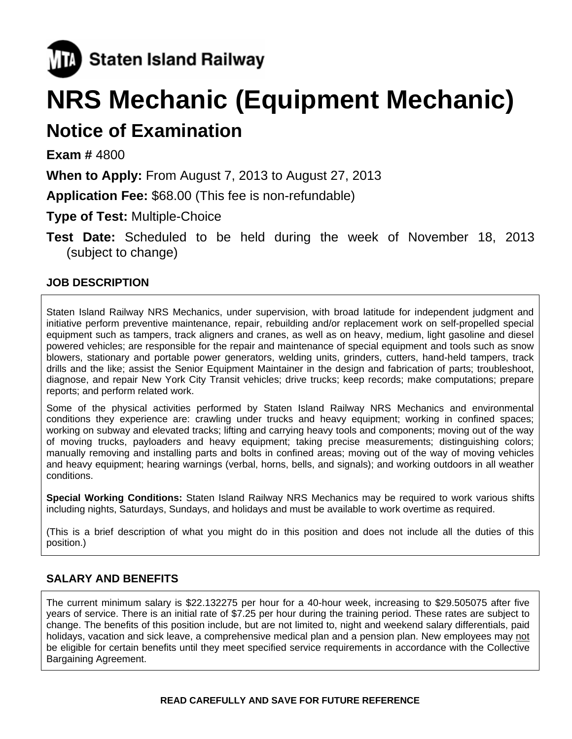

# **NRS Mechanic (Equipment Mechanic)**

# **Notice of Examination**

**Exam #** 4800

**When to Apply:** From August 7, 2013 to August 27, 2013

**Application Fee:** \$68.00 (This fee is non-refundable)

**Type of Test:** Multiple-Choice

**Test Date:** Scheduled to be held during the week of November 18, 2013 (subject to change)

# **JOB DESCRIPTION**

Staten Island Railway NRS Mechanics, under supervision, with broad latitude for independent judgment and initiative perform preventive maintenance, repair, rebuilding and/or replacement work on self-propelled special equipment such as tampers, track aligners and cranes, as well as on heavy, medium, light gasoline and diesel powered vehicles; are responsible for the repair and maintenance of special equipment and tools such as snow blowers, stationary and portable power generators, welding units, grinders, cutters, hand-held tampers, track drills and the like; assist the Senior Equipment Maintainer in the design and fabrication of parts; troubleshoot, diagnose, and repair New York City Transit vehicles; drive trucks; keep records; make computations; prepare reports; and perform related work.

Some of the physical activities performed by Staten Island Railway NRS Mechanics and environmental conditions they experience are: crawling under trucks and heavy equipment; working in confined spaces; working on subway and elevated tracks; lifting and carrying heavy tools and components; moving out of the way of moving trucks, payloaders and heavy equipment; taking precise measurements; distinguishing colors; manually removing and installing parts and bolts in confined areas; moving out of the way of moving vehicles and heavy equipment; hearing warnings (verbal, horns, bells, and signals); and working outdoors in all weather conditions.

**Special Working Conditions:** Staten Island Railway NRS Mechanics may be required to work various shifts including nights, Saturdays, Sundays, and holidays and must be available to work overtime as required.

(This is a brief description of what you might do in this position and does not include all the duties of this position.)

## **SALARY AND BENEFITS**

The current minimum salary is \$22.132275 per hour for a 40-hour week, increasing to \$29.505075 after five years of service. There is an initial rate of \$7.25 per hour during the training period. These rates are subject to change. The benefits of this position include, but are not limited to, night and weekend salary differentials, paid holidays, vacation and sick leave, a comprehensive medical plan and a pension plan. New employees may not be eligible for certain benefits until they meet specified service requirements in accordance with the Collective Bargaining Agreement.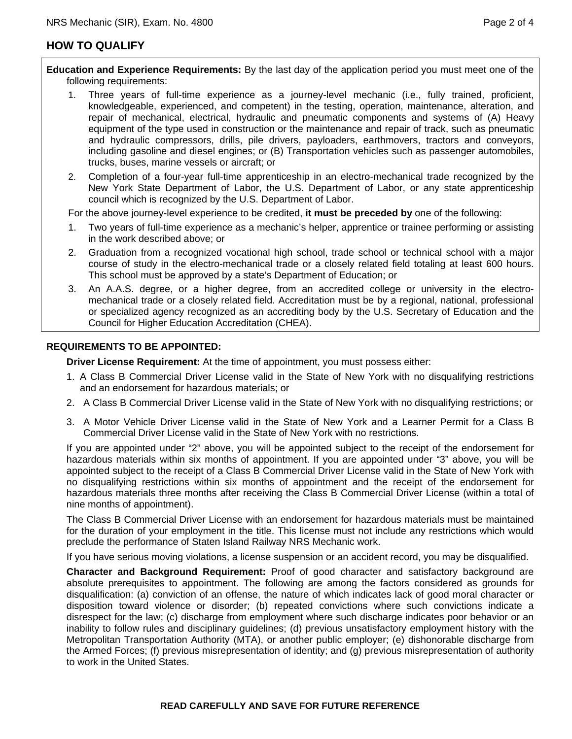### **HOW TO QUALIFY**

**Education and Experience Requirements:** By the last day of the application period you must meet one of the following requirements:

- 1. Three years of full-time experience as a journey-level mechanic (i.e., fully trained, proficient, knowledgeable, experienced, and competent) in the testing, operation, maintenance, alteration, and repair of mechanical, electrical, hydraulic and pneumatic components and systems of (A) Heavy equipment of the type used in construction or the maintenance and repair of track, such as pneumatic and hydraulic compressors, drills, pile drivers, payloaders, earthmovers, tractors and conveyors, including gasoline and diesel engines; or (B) Transportation vehicles such as passenger automobiles, trucks, buses, marine vessels or aircraft; or
- 2. Completion of a four-year full-time apprenticeship in an electro-mechanical trade recognized by the New York State Department of Labor, the U.S. Department of Labor, or any state apprenticeship council which is recognized by the U.S. Department of Labor.

For the above journey-level experience to be credited, **it must be preceded by** one of the following:

- 1. Two years of full-time experience as a mechanic's helper, apprentice or trainee performing or assisting in the work described above; or
- 2. Graduation from a recognized vocational high school, trade school or technical school with a major course of study in the electro-mechanical trade or a closely related field totaling at least 600 hours. This school must be approved by a state's Department of Education; or
- 3. An A.A.S. degree, or a higher degree, from an accredited college or university in the electromechanical trade or a closely related field. Accreditation must be by a regional, national, professional or specialized agency recognized as an accrediting body by the U.S. Secretary of Education and the Council for Higher Education Accreditation (CHEA).

#### **REQUIREMENTS TO BE APPOINTED:**

**Driver License Requirement:** At the time of appointment, you must possess either:

- 1. A Class B Commercial Driver License valid in the State of New York with no disqualifying restrictions and an endorsement for hazardous materials; or
- 2. A Class B Commercial Driver License valid in the State of New York with no disqualifying restrictions; or
- 3. A Motor Vehicle Driver License valid in the State of New York and a Learner Permit for a Class B Commercial Driver License valid in the State of New York with no restrictions.

If you are appointed under "2" above, you will be appointed subject to the receipt of the endorsement for hazardous materials within six months of appointment. If you are appointed under "3" above, you will be appointed subject to the receipt of a Class B Commercial Driver License valid in the State of New York with no disqualifying restrictions within six months of appointment and the receipt of the endorsement for hazardous materials three months after receiving the Class B Commercial Driver License (within a total of nine months of appointment).

The Class B Commercial Driver License with an endorsement for hazardous materials must be maintained for the duration of your employment in the title. This license must not include any restrictions which would preclude the performance of Staten Island Railway NRS Mechanic work.

If you have serious moving violations, a license suspension or an accident record, you may be disqualified.

**Character and Background Requirement:** Proof of good character and satisfactory background are absolute prerequisites to appointment. The following are among the factors considered as grounds for disqualification: (a) conviction of an offense, the nature of which indicates lack of good moral character or disposition toward violence or disorder; (b) repeated convictions where such convictions indicate a disrespect for the law; (c) discharge from employment where such discharge indicates poor behavior or an inability to follow rules and disciplinary guidelines; (d) previous unsatisfactory employment history with the Metropolitan Transportation Authority (MTA), or another public employer; (e) dishonorable discharge from the Armed Forces; (f) previous misrepresentation of identity; and (g) previous misrepresentation of authority to work in the United States.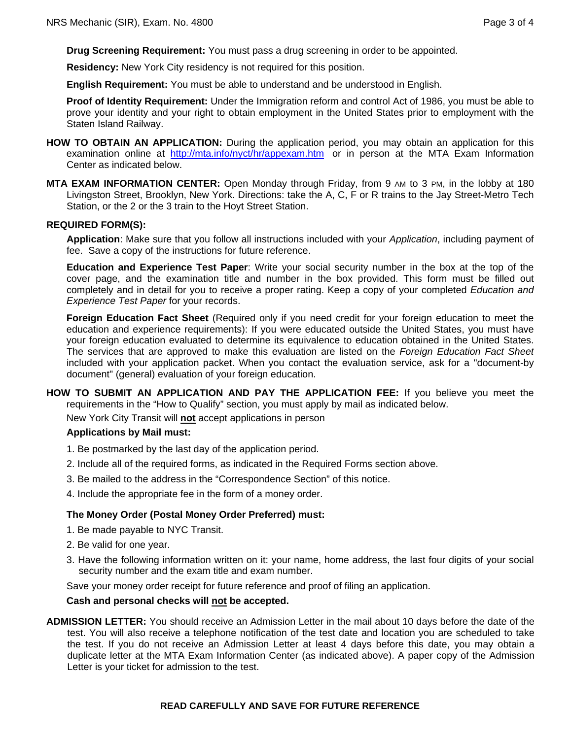**Drug Screening Requirement:** You must pass a drug screening in order to be appointed.

**Residency:** New York City residency is not required for this position.

**English Requirement:** You must be able to understand and be understood in English.

**Proof of Identity Requirement:** Under the Immigration reform and control Act of 1986, you must be able to prove your identity and your right to obtain employment in the United States prior to employment with the Staten Island Railway.

- **HOW TO OBTAIN AN APPLICATION:** During the application period, you may obtain an application for this examination online at http://mta.info/nyct/hr/appexam.htm or in person at the MTA Exam Information Center as indicated below.
- **MTA EXAM INFORMATION CENTER:** Open Monday through Friday, from 9 AM to 3 PM, in the lobby at 180 Livingston Street, Brooklyn, New York. Directions: take the A, C, F or R trains to the Jay Street-Metro Tech Station, or the 2 or the 3 train to the Hoyt Street Station.

#### **REQUIRED FORM(S):**

**Application**: Make sure that you follow all instructions included with your *Application*, including payment of fee. Save a copy of the instructions for future reference.

**Education and Experience Test Paper**: Write your social security number in the box at the top of the cover page, and the examination title and number in the box provided. This form must be filled out completely and in detail for you to receive a proper rating. Keep a copy of your completed *Education and Experience Test Paper* for your records.

**Foreign Education Fact Sheet** (Required only if you need credit for your foreign education to meet the education and experience requirements): If you were educated outside the United States, you must have your foreign education evaluated to determine its equivalence to education obtained in the United States. The services that are approved to make this evaluation are listed on the *Foreign Education Fact Sheet* included with your application packet. When you contact the evaluation service, ask for a "document-by document" (general) evaluation of your foreign education.

**HOW TO SUBMIT AN APPLICATION AND PAY THE APPLICATION FEE:** If you believe you meet the requirements in the "How to Qualify" section, you must apply by mail as indicated below.

New York City Transit will **not** accept applications in person

#### **Applications by Mail must:**

- 1. Be postmarked by the last day of the application period.
- 2. Include all of the required forms, as indicated in the Required Forms section above.
- 3. Be mailed to the address in the "Correspondence Section" of this notice.
- 4. Include the appropriate fee in the form of a money order.

#### **The Money Order (Postal Money Order Preferred) must:**

- 1. Be made payable to NYC Transit.
- 2. Be valid for one year.
- 3. Have the following information written on it: your name, home address, the last four digits of your social security number and the exam title and exam number.

Save your money order receipt for future reference and proof of filing an application.

#### **Cash and personal checks will not be accepted.**

**ADMISSION LETTER:** You should receive an Admission Letter in the mail about 10 days before the date of the test. You will also receive a telephone notification of the test date and location you are scheduled to take the test. If you do not receive an Admission Letter at least 4 days before this date, you may obtain a duplicate letter at the MTA Exam Information Center (as indicated above). A paper copy of the Admission Letter is your ticket for admission to the test.

#### **READ CAREFULLY AND SAVE FOR FUTURE REFERENCE**